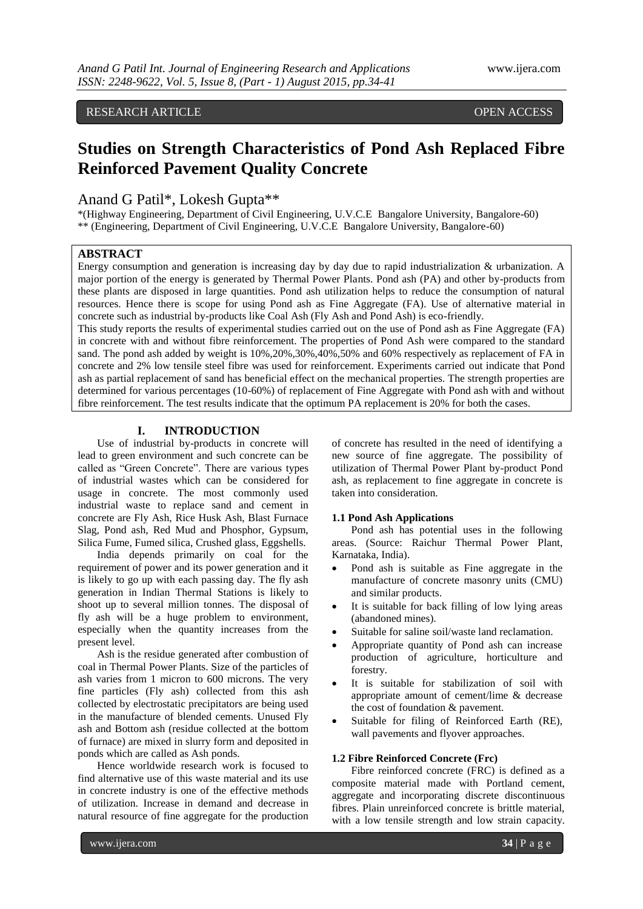# RESEARCH ARTICLE **CONSERVERS** OPEN ACCESS

# **Studies on Strength Characteristics of Pond Ash Replaced Fibre Reinforced Pavement Quality Concrete**

# Anand G Patil\*, Lokesh Gupta\*\*

\*(Highway Engineering, Department of Civil Engineering, U.V.C.E Bangalore University, Bangalore-60) \*\* (Engineering, Department of Civil Engineering, U.V.C.E Bangalore University, Bangalore-60)

# **ABSTRACT**

Energy consumption and generation is increasing day by day due to rapid industrialization & urbanization. A major portion of the energy is generated by Thermal Power Plants. Pond ash (PA) and other by-products from these plants are disposed in large quantities. Pond ash utilization helps to reduce the consumption of natural resources. Hence there is scope for using Pond ash as Fine Aggregate (FA). Use of alternative material in concrete such as industrial by-products like Coal Ash (Fly Ash and Pond Ash) is eco-friendly.

This study reports the results of experimental studies carried out on the use of Pond ash as Fine Aggregate (FA) in concrete with and without fibre reinforcement. The properties of Pond Ash were compared to the standard sand. The pond ash added by weight is 10%,20%,30%,40%,50% and 60% respectively as replacement of FA in concrete and 2% low tensile steel fibre was used for reinforcement. Experiments carried out indicate that Pond ash as partial replacement of sand has beneficial effect on the mechanical properties. The strength properties are determined for various percentages (10-60%) of replacement of Fine Aggregate with Pond ash with and without fibre reinforcement. The test results indicate that the optimum PA replacement is 20% for both the cases.

# **I. INTRODUCTION**

Use of industrial by-products in concrete will lead to green environment and such concrete can be called as "Green Concrete". There are various types of industrial wastes which can be considered for usage in concrete. The most commonly used industrial waste to replace sand and cement in concrete are Fly Ash, Rice Husk Ash, Blast Furnace Slag, Pond ash, Red Mud and Phosphor, Gypsum, Silica Fume, Fumed silica, Crushed glass, Eggshells.

India depends primarily on coal for the requirement of power and its power generation and it is likely to go up with each passing day. The fly ash generation in Indian Thermal Stations is likely to shoot up to several million tonnes. The disposal of fly ash will be a huge problem to environment, especially when the quantity increases from the present level.

Ash is the residue generated after combustion of coal in Thermal Power Plants. Size of the particles of ash varies from 1 micron to 600 microns. The very fine particles (Fly ash) collected from this ash collected by electrostatic precipitators are being used in the manufacture of blended cements. Unused Fly ash and Bottom ash (residue collected at the bottom of furnace) are mixed in slurry form and deposited in ponds which are called as Ash ponds.

Hence worldwide research work is focused to find alternative use of this waste material and its use in concrete industry is one of the effective methods of utilization. Increase in demand and decrease in natural resource of fine aggregate for the production

of concrete has resulted in the need of identifying a new source of fine aggregate. The possibility of utilization of Thermal Power Plant by-product Pond ash, as replacement to fine aggregate in concrete is taken into consideration.

#### **1.1 Pond Ash Applications**

Pond ash has potential uses in the following areas. (Source: Raichur Thermal Power Plant, Karnataka, India).

- Pond ash is suitable as Fine aggregate in the manufacture of concrete masonry units (CMU) and similar products.
- It is suitable for back filling of low lying areas (abandoned mines).
- Suitable for saline soil/waste land reclamation.
- Appropriate quantity of Pond ash can increase production of agriculture, horticulture and forestry.
- It is suitable for stabilization of soil with appropriate amount of cement/lime & decrease the cost of foundation & pavement.
- Suitable for filing of Reinforced Earth (RE), wall pavements and flyover approaches.

#### **1.2 Fibre Reinforced Concrete (Frc)**

Fibre reinforced concrete (FRC) is defined as a composite material made with Portland cement, aggregate and incorporating discrete discontinuous fibres. Plain unreinforced concrete is brittle material, with a low tensile strength and low strain capacity.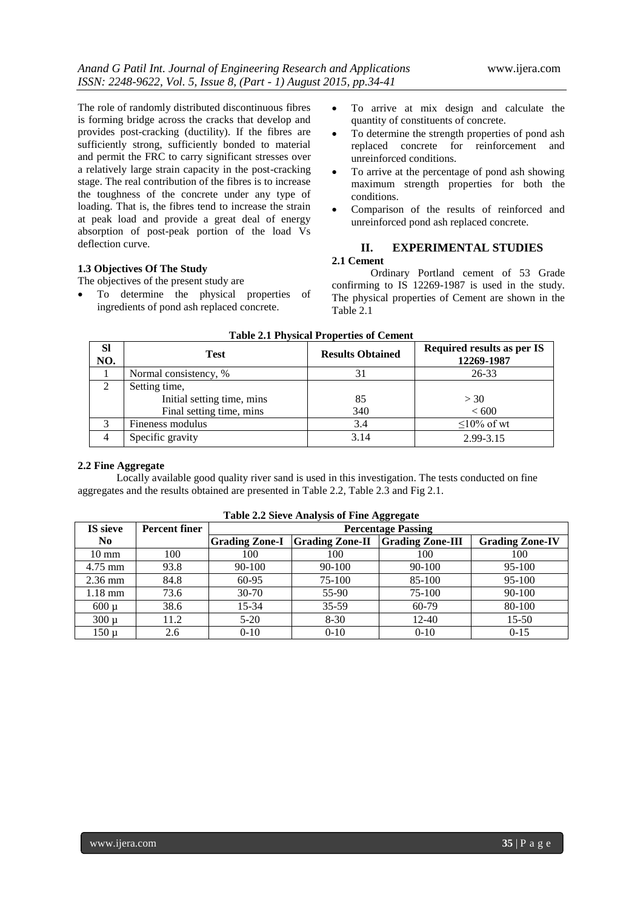The role of randomly distributed discontinuous fibres is forming bridge across the cracks that develop and provides post-cracking (ductility). If the fibres are sufficiently strong, sufficiently bonded to material and permit the FRC to carry significant stresses over a relatively large strain capacity in the post-cracking stage. The real contribution of the fibres is to increase the toughness of the concrete under any type of loading. That is, the fibres tend to increase the strain at peak load and provide a great deal of energy absorption of post-peak portion of the load Vs deflection curve.

### **1.3 Objectives Of The Study**

The objectives of the present study are

 To determine the physical properties of ingredients of pond ash replaced concrete.

- To arrive at mix design and calculate the quantity of constituents of concrete.
- To determine the strength properties of pond ash replaced concrete for reinforcement and unreinforced conditions.
- To arrive at the percentage of pond ash showing maximum strength properties for both the conditions.
- Comparison of the results of reinforced and unreinforced pond ash replaced concrete.

# **II. EXPERIMENTAL STUDIES**

# **2.1 Cement**

Ordinary Portland cement of 53 Grade confirming to IS 12269-1987 is used in the study. The physical properties of Cement are shown in the Table 2.1

| <b>Table 2.1 Physical Properties of Cement</b> |                            |                         |                                          |  |  |  |  |  |
|------------------------------------------------|----------------------------|-------------------------|------------------------------------------|--|--|--|--|--|
| <b>Sl</b><br>NO.                               | <b>Test</b>                | <b>Results Obtained</b> | Required results as per IS<br>12269-1987 |  |  |  |  |  |
|                                                | Normal consistency, %      | 31                      | 26-33                                    |  |  |  |  |  |
| $\overline{2}$                                 | Setting time,              |                         |                                          |  |  |  |  |  |
|                                                | Initial setting time, mins | 85                      | >30                                      |  |  |  |  |  |
|                                                | Final setting time, mins   | 340                     | <600                                     |  |  |  |  |  |
| 3                                              | Fineness modulus           | 3.4                     | $\leq$ 10% of wt                         |  |  |  |  |  |
| 4                                              | Specific gravity           | 3.14                    | 2.99-3.15                                |  |  |  |  |  |

#### **2.2 Fine Aggregate**

Locally available good quality river sand is used in this investigation. The tests conducted on fine aggregates and the results obtained are presented in Table 2.2, Table 2.3 and Fig 2.1.

|                   | ---------            |                           |                        |                         |                        |  |  |  |  |  |
|-------------------|----------------------|---------------------------|------------------------|-------------------------|------------------------|--|--|--|--|--|
| <b>IS</b> sieve   | <b>Percent finer</b> | <b>Percentage Passing</b> |                        |                         |                        |  |  |  |  |  |
| No.               |                      | <b>Grading Zone-I</b>     | <b>Grading Zone-II</b> | <b>Grading Zone-III</b> | <b>Grading Zone-IV</b> |  |  |  |  |  |
| $10 \text{ mm}$   | 100                  | 100                       | 100                    | 100                     | 100                    |  |  |  |  |  |
| 4.75 mm           | 93.8                 | 90-100                    | 90-100                 | 90-100                  | 95-100                 |  |  |  |  |  |
| $2.36$ mm         | 84.8                 | 60-95                     | 75-100                 | 85-100                  | 95-100                 |  |  |  |  |  |
| $1.18 \text{ mm}$ | 73.6                 | $30-70$                   | 55-90                  | 75-100                  | $90 - 100$             |  |  |  |  |  |
| 600 u             | 38.6                 | $15 - 34$                 | $35 - 59$              | $60-79$                 | 80-100                 |  |  |  |  |  |
| $300 \mu$         | 11.2                 | $5 - 20$                  | $8 - 30$               | $12 - 40$               | $15 - 50$              |  |  |  |  |  |
| 150 µ             | 2.6                  | $0-10$                    | $0 - 10$               | $0 - 10$                | $0 - 15$               |  |  |  |  |  |

#### **Table 2.2 Sieve Analysis of Fine Aggregate**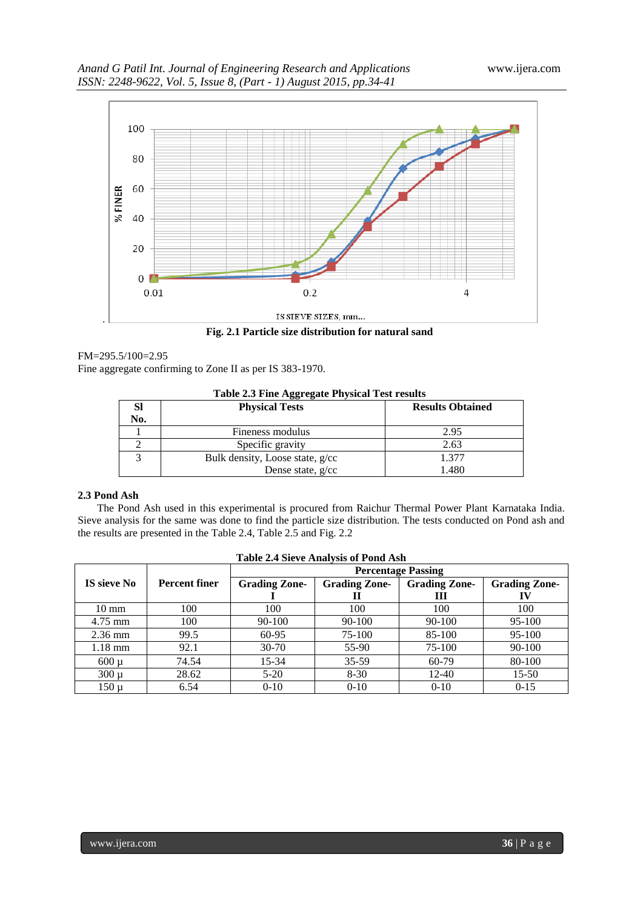

**Fig. 2.1 Particle size distribution for natural sand**

#### FM=295.5/100=2.95

Fine aggregate confirming to Zone II as per IS 383-1970.

| Table 2.3 Fine Aggregate Physical Test results |                                 |                         |  |  |  |  |  |
|------------------------------------------------|---------------------------------|-------------------------|--|--|--|--|--|
| Sl                                             | <b>Physical Tests</b>           | <b>Results Obtained</b> |  |  |  |  |  |
| No.                                            |                                 |                         |  |  |  |  |  |
|                                                | Fineness modulus                | 2.95                    |  |  |  |  |  |
|                                                | Specific gravity                | 2.63                    |  |  |  |  |  |
|                                                | Bulk density, Loose state, g/cc | 1.377                   |  |  |  |  |  |
|                                                | Dense state, $g/cc$             | 1.480                   |  |  |  |  |  |

#### **2.3 Pond Ash**

The Pond Ash used in this experimental is procured from Raichur Thermal Power Plant Karnataka India. Sieve analysis for the same was done to find the particle size distribution. The tests conducted on Pond ash and the results are presented in the Table 2.4, Table 2.5 and Fig. 2.2

| <b>Percentage Passing</b> |                      |                      |                      |                      |                      |  |  |  |  |
|---------------------------|----------------------|----------------------|----------------------|----------------------|----------------------|--|--|--|--|
| <b>IS sieve No</b>        | <b>Percent finer</b> | <b>Grading Zone-</b> | <b>Grading Zone-</b> | <b>Grading Zone-</b> | <b>Grading Zone-</b> |  |  |  |  |
|                           |                      |                      | Н                    | Ш                    | IV                   |  |  |  |  |
| $10 \text{ mm}$           | 100                  | 100                  | 100                  | 100                  | 100                  |  |  |  |  |
| $4.75$ mm                 | 100                  | 90-100               | 90-100               | 90-100               | 95-100               |  |  |  |  |
| $2.36$ mm                 | 99.5                 | 60-95                | 75-100               | 85-100               | 95-100               |  |  |  |  |
| $1.18$ mm                 | 92.1                 | $30 - 70$            | 55-90                | 75-100               | 90-100               |  |  |  |  |
| $600 \mu$                 | 74.54                | $15 - 34$            | $35 - 59$            | $60-79$              | 80-100               |  |  |  |  |
| $300 \mu$                 | 28.62                | $5-20$               | $8 - 30$             | 12-40                | $15 - 50$            |  |  |  |  |
| $150 \mu$                 | 6.54                 | $0 - 10$             | $0 - 10$             | $0 - 10$             | $0 - 15$             |  |  |  |  |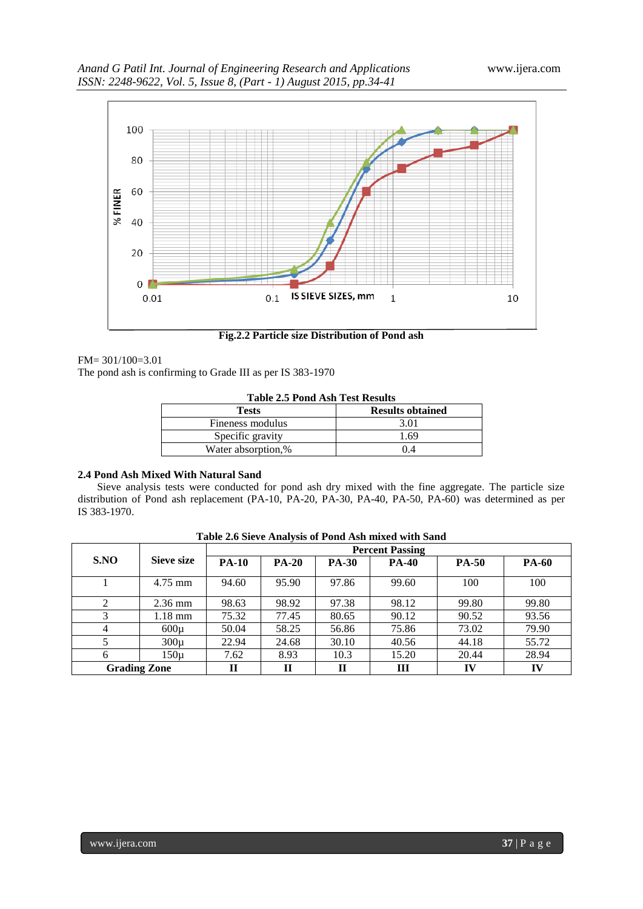

**Fig.2.2 Particle size Distribution of Pond ash**

FM= 301/100=3.01

The pond ash is confirming to Grade III as per IS 383-1970

| <b>Tests</b>       | <b>Results obtained</b> |
|--------------------|-------------------------|
| Fineness modulus   | 3.01                    |
| Specific gravity   | 1 69                    |
| Water absorption,% |                         |

### **2.4 Pond Ash Mixed With Natural Sand**

Sieve analysis tests were conducted for pond ash dry mixed with the fine aggregate. The particle size distribution of Pond ash replacement (PA-10, PA-20, PA-30, PA-40, PA-50, PA-60) was determined as per IS 383-1970.

|                     |            | <b>Percent Passing</b> |              |              |              |              |              |
|---------------------|------------|------------------------|--------------|--------------|--------------|--------------|--------------|
| S.NO                | Sieve size | <b>PA-10</b>           | <b>PA-20</b> | <b>PA-30</b> | <b>PA-40</b> | <b>PA-50</b> | <b>PA-60</b> |
|                     | $4.75$ mm  | 94.60                  | 95.90        | 97.86        | 99.60        | 100          | 100          |
|                     | $2.36$ mm  | 98.63                  | 98.92        | 97.38        | 98.12        | 99.80        | 99.80        |
| 3                   | 1.18 mm    | 75.32                  | 77.45        | 80.65        | 90.12        | 90.52        | 93.56        |
| 4                   | $600\mu$   | 50.04                  | 58.25        | 56.86        | 75.86        | 73.02        | 79.90        |
|                     | $300\mu$   | 22.94                  | 24.68        | 30.10        | 40.56        | 44.18        | 55.72        |
| 6                   | 150µ       | 7.62                   | 8.93         | 10.3         | 15.20        | 20.44        | 28.94        |
| <b>Grading Zone</b> |            | П                      | П            | П            | Ш            | IV           | IV           |

**Table 2.6 Sieve Analysis of Pond Ash mixed with Sand**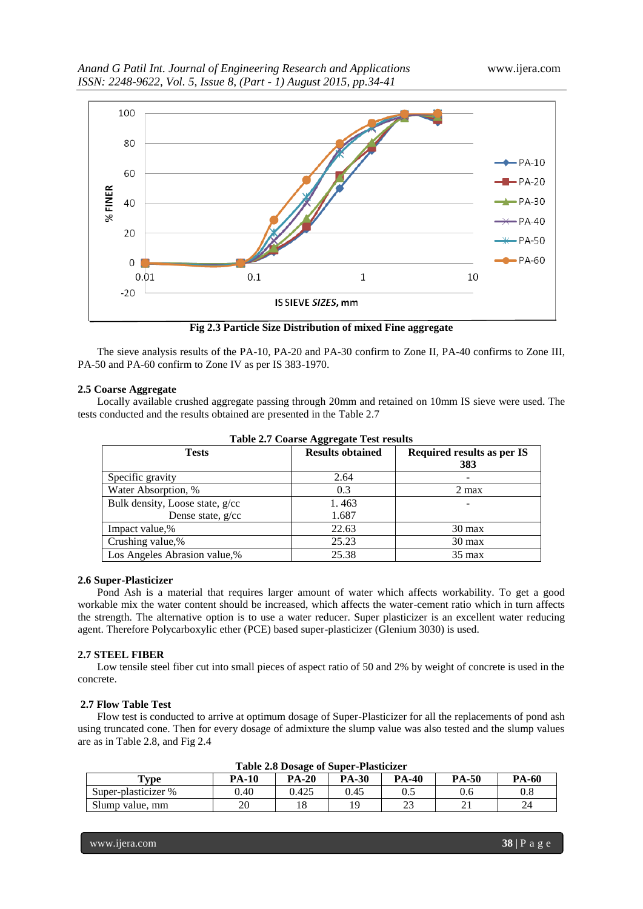

**Fig 2.3 Particle Size Distribution of mixed Fine aggregate**

The sieve analysis results of the PA-10, PA-20 and PA-30 confirm to Zone II, PA-40 confirms to Zone III, PA-50 and PA-60 confirm to Zone IV as per IS 383-1970.

#### **2.5 Coarse Aggregate**

Locally available crushed aggregate passing through 20mm and retained on 10mm IS sieve were used. The tests conducted and the results obtained are presented in the Table 2.7

| Table 2.7 Coarse Aggregate Test results |                         |                                   |  |  |  |  |  |
|-----------------------------------------|-------------------------|-----------------------------------|--|--|--|--|--|
| <b>Tests</b>                            | <b>Results obtained</b> | Required results as per IS<br>383 |  |  |  |  |  |
| Specific gravity                        | 2.64                    |                                   |  |  |  |  |  |
| Water Absorption, %                     | 0.3                     | 2 max                             |  |  |  |  |  |
| Bulk density, Loose state, g/cc         | 1.463                   |                                   |  |  |  |  |  |
| Dense state, $g/cc$                     | 1.687                   |                                   |  |  |  |  |  |
| Impact value,%                          | 22.63                   | $30 \text{ max}$                  |  |  |  |  |  |
| Crushing value,%                        | 25.23                   | $30 \text{ max}$                  |  |  |  |  |  |
| Los Angeles Abrasion value,%            | 25.38                   | $35 \text{ max}$                  |  |  |  |  |  |

**Table 2.7 Coarse Aggregate Test results**

#### **2.6 Super-Plasticizer**

Pond Ash is a material that requires larger amount of water which affects workability. To get a good workable mix the water content should be increased, which affects the water-cement ratio which in turn affects the strength. The alternative option is to use a water reducer. Super plasticizer is an excellent water reducing agent. Therefore Polycarboxylic ether (PCE) based super-plasticizer (Glenium 3030) is used.

#### **2.7 STEEL FIBER**

Low tensile steel fiber cut into small pieces of aspect ratio of 50 and 2% by weight of concrete is used in the concrete.

#### **2.7 Flow Table Test**

Flow test is conducted to arrive at optimum dosage of Super-Plasticizer for all the replacements of pond ash using truncated cone. Then for every dosage of admixture the slump value was also tested and the slump values are as in Table 2.8, and Fig 2.4

| Table 2.8 Dosage of Super-Plasticizer                                                                   |      |       |      |     |     |           |  |  |
|---------------------------------------------------------------------------------------------------------|------|-------|------|-----|-----|-----------|--|--|
| <b>PA-40</b><br><b>PA-50</b><br><b>PA-20</b><br><b>PA-30</b><br><b>PA-60</b><br><b>PA-10</b><br>$T$ vpe |      |       |      |     |     |           |  |  |
| Super-plasticizer %                                                                                     | 0.40 | 0.425 | 0.45 | U.J | 0.6 | $\rm 0.8$ |  |  |
| Slump value, mm                                                                                         | า∩   |       |      | ∸-  | ∠⊥  | 24        |  |  |

**Table 2.8 Dosage of Super-Plasticizer**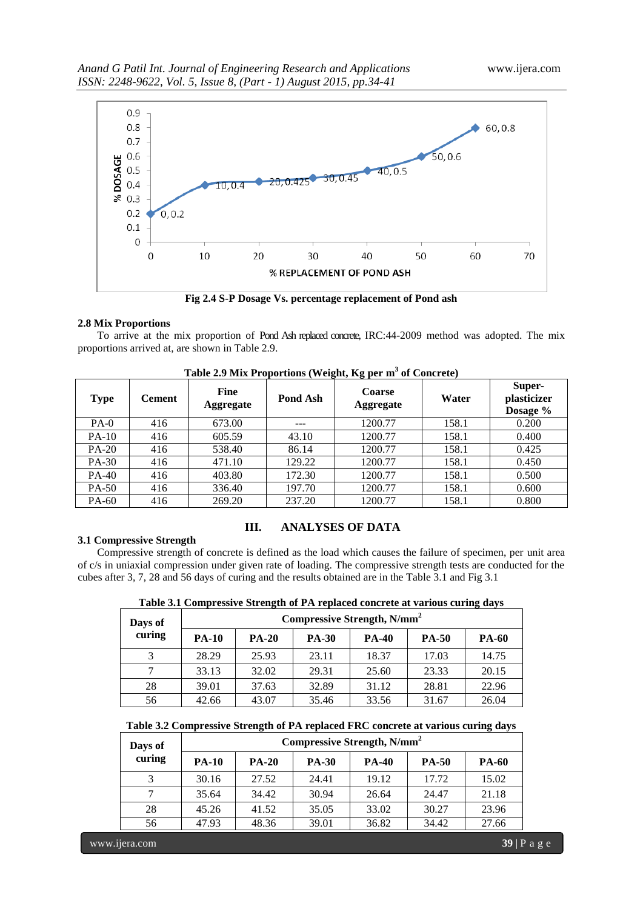

**Fig 2.4 S-P Dosage Vs. percentage replacement of Pond ash**

### **2.8 Mix Proportions**

To arrive at the mix proportion of Pond Ash replaced concrete, IRC:44-2009 method was adopted. The mix proportions arrived at, are shown in Table 2.9.

| <b>Type</b> | <b>Cement</b> | Fine<br><b>Aggregate</b> | Pond Ash | <b>Coarse</b><br><b>Aggregate</b> | Water | Super-<br>plasticizer<br>Dosage % |
|-------------|---------------|--------------------------|----------|-----------------------------------|-------|-----------------------------------|
| $PA-0$      | 416           | 673.00                   | ---      | 1200.77                           | 158.1 | 0.200                             |
| $PA-10$     | 416           | 605.59                   | 43.10    | 1200.77                           | 158.1 | 0.400                             |
| $PA-20$     | 416           | 538.40                   | 86.14    | 1200.77                           | 158.1 | 0.425                             |
| PA-30       | 416           | 471.10                   | 129.22   | 1200.77                           | 158.1 | 0.450                             |
| $PA-40$     | 416           | 403.80                   | 172.30   | 1200.77                           | 158.1 | 0.500                             |
| PA-50       | 416           | 336.40                   | 197.70   | 1200.77                           | 158.1 | 0.600                             |
| PA-60       | 416           | 269.20                   | 237.20   | 1200.77                           | 158.1 | 0.800                             |

**Table 2.9 Mix Proportions (Weight, Kg per m<sup>3</sup> of Concrete)**

### **3.1 Compressive Strength**

# **III. ANALYSES OF DATA**

Compressive strength of concrete is defined as the load which causes the failure of specimen, per unit area of c/s in uniaxial compression under given rate of loading. The compressive strength tests are conducted for the cubes after 3, 7, 28 and 56 days of curing and the results obtained are in the Table 3.1 and Fig 3.1

|  |  |  |  |  |  |  | Table 3.1 Compressive Strength of PA replaced concrete at various curing days |
|--|--|--|--|--|--|--|-------------------------------------------------------------------------------|
|--|--|--|--|--|--|--|-------------------------------------------------------------------------------|

|  | Days of | Compressive Strength, N/mm <sup>2</sup> |              |              |              |              |              |  |  |
|--|---------|-----------------------------------------|--------------|--------------|--------------|--------------|--------------|--|--|
|  | curing  | <b>PA-10</b>                            | <b>PA-20</b> | <b>PA-30</b> | <b>PA-40</b> | <b>PA-50</b> | <b>PA-60</b> |  |  |
|  |         | 28.29                                   | 25.93        | 23.11        | 18.37        | 17.03        | 14.75        |  |  |
|  |         | 33.13                                   | 32.02        | 29.31        | 25.60        | 23.33        | 20.15        |  |  |
|  | 28      | 39.01                                   | 37.63        | 32.89        | 31.12        | 28.81        | 22.96        |  |  |
|  | 56      | 42.66                                   | 43.07        | 35.46        | 33.56        | 31.67        | 26.04        |  |  |

# **Table 3.2 Compressive Strength of PA replaced FRC concrete at various curing days**

| Days of<br>curing | Compressive Strength, N/mm <sup>2</sup> |              |              |              |              |              |  |  |
|-------------------|-----------------------------------------|--------------|--------------|--------------|--------------|--------------|--|--|
|                   | <b>PA-10</b>                            | <b>PA-20</b> | <b>PA-30</b> | <b>PA-40</b> | <b>PA-50</b> | <b>PA-60</b> |  |  |
|                   | 30.16                                   | 27.52        | 24.41        | 19.12        | 17.72        | 15.02        |  |  |
|                   | 35.64                                   | 34.42        | 30.94        | 26.64        | 24.47        | 21.18        |  |  |
| 28                | 45.26                                   | 41.52        | 35.05        | 33.02        | 30.27        | 23.96        |  |  |
| 56                | 47.93                                   | 48.36        | 39.01        | 36.82        | 34.42        | 27.66        |  |  |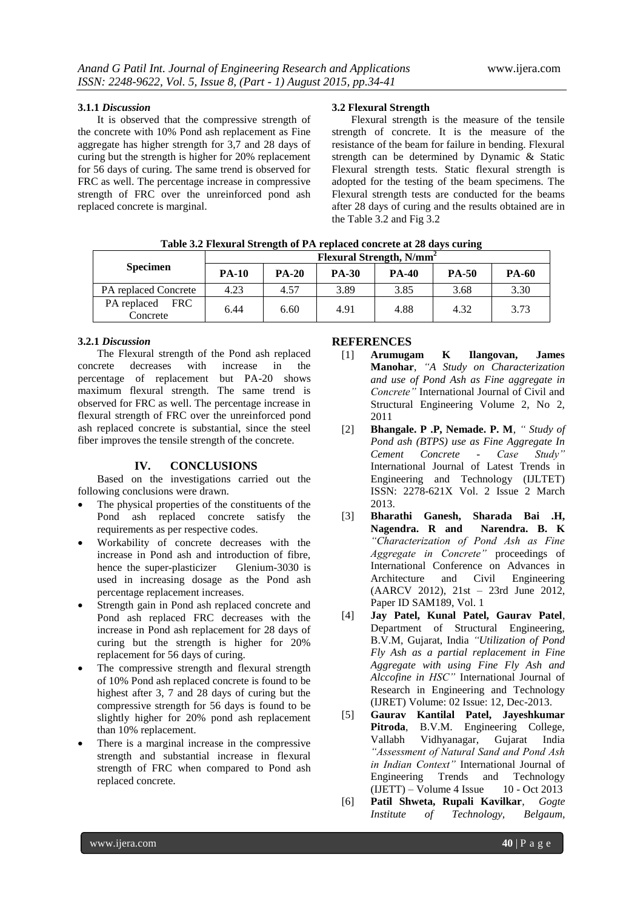## **3.1.1** *Discussion*

It is observed that the compressive strength of the concrete with 10% Pond ash replacement as Fine aggregate has higher strength for 3,7 and 28 days of curing but the strength is higher for 20% replacement for 56 days of curing. The same trend is observed for FRC as well. The percentage increase in compressive strength of FRC over the unreinforced pond ash replaced concrete is marginal.

### **3.2 Flexural Strength**

Flexural strength is the measure of the tensile strength of concrete. It is the measure of the resistance of the beam for failure in bending. Flexural strength can be determined by Dynamic & Static Flexural strength tests. Static flexural strength is adopted for the testing of the beam specimens. The Flexural strength tests are conducted for the beams after 28 days of curing and the results obtained are in the Table 3.2 and Fig 3.2

|                                       | Flexural Strength, N/mm <sup>2</sup> |              |              |              |              |              |  |  |
|---------------------------------------|--------------------------------------|--------------|--------------|--------------|--------------|--------------|--|--|
| <b>Specimen</b>                       | <b>PA-10</b>                         | <b>PA-20</b> | <b>PA-30</b> | <b>PA-40</b> | <b>PA-50</b> | <b>PA-60</b> |  |  |
| PA replaced Concrete                  | 4.23                                 | 4.57         | 3.89         | 3.85         | 3.68         | 3.30         |  |  |
| PA replaced<br><b>FRC</b><br>Concrete | 6.44                                 | 6.60         | 4.91         | 4.88         | 4.32         | 3.73         |  |  |

**Table 3.2 Flexural Strength of PA replaced concrete at 28 days curing**

#### **3.2.1** *Discussion*

The Flexural strength of the Pond ash replaced concrete decreases with increase in the percentage of replacement but PA-20 shows maximum flexural strength. The same trend is observed for FRC as well. The percentage increase in flexural strength of FRC over the unreinforced pond ash replaced concrete is substantial, since the steel fiber improves the tensile strength of the concrete.

#### **IV. CONCLUSIONS**

Based on the investigations carried out the following conclusions were drawn.

- The physical properties of the constituents of the Pond ash replaced concrete satisfy the requirements as per respective codes.
- Workability of concrete decreases with the increase in Pond ash and introduction of fibre, hence the super-plasticizer Glenium-3030 is used in increasing dosage as the Pond ash percentage replacement increases.
- Strength gain in Pond ash replaced concrete and Pond ash replaced FRC decreases with the increase in Pond ash replacement for 28 days of curing but the strength is higher for 20% replacement for 56 days of curing.
- The compressive strength and flexural strength of 10% Pond ash replaced concrete is found to be highest after 3, 7 and 28 days of curing but the compressive strength for 56 days is found to be slightly higher for 20% pond ash replacement than 10% replacement.
- There is a marginal increase in the compressive strength and substantial increase in flexural strength of FRC when compared to Pond ash replaced concrete.

#### **REFERENCES**

- [1] **Arumugam K Ilangovan, James Manohar**, *"A Study on Characterization and use of Pond Ash as Fine aggregate in Concrete"* International Journal of Civil and Structural Engineering Volume 2, No 2, 2011
- [2] **Bhangale. P .P, Nemade. P. M**, *" Study of Pond ash (BTPS) use as Fine Aggregate In Cement Concrete - Case Study"* International Journal of Latest Trends in Engineering and Technology (IJLTET) ISSN: 2278-621X Vol. 2 Issue 2 March 2013.
- [3] **Bharathi Ganesh, Sharada Bai .H, Nagendra. R and Narendra. B. K** *"Characterization of Pond Ash as Fine Aggregate in Concrete"* proceedings of International Conference on Advances in Architecture and Civil Engineering (AARCV 2012), 21st – 23rd June 2012, Paper ID SAM189, Vol. 1
- [4] **Jay Patel, Kunal Patel, Gaurav Patel**, Department of Structural Engineering, B.V.M, Gujarat, India *"Utilization of Pond Fly Ash as a partial replacement in Fine Aggregate with using Fine Fly Ash and Alccofine in HSC"* International Journal of Research in Engineering and Technology (IJRET) Volume: 02 Issue: 12, Dec-2013.
- [5] **Gaurav Kantilal Patel, Jayeshkumar Pitroda**, B.V.M. Engineering College, Vallabh Vidhyanagar, Gujarat India *"Assessment of Natural Sand and Pond Ash in Indian Context"* International Journal of Engineering Trends and Technology  $(IJETT) - Volume 4 Issue 10 - Oct 2013$
- [6] **Patil Shweta, Rupali Kavilkar**, *Gogte Institute of Technology, Belgaum,*